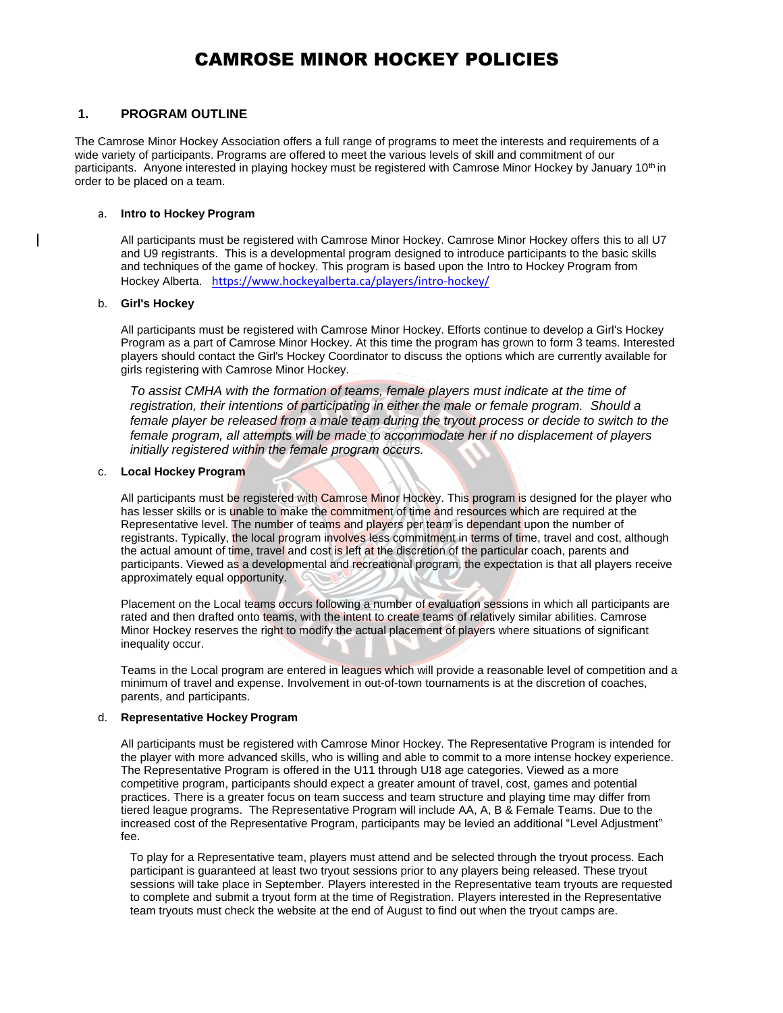# CAMROSE MINOR HOCKEY POLICIES

# **1. PROGRAM OUTLINE**

The Camrose Minor Hockey Association offers a full range of programs to meet the interests and requirements of a wide variety of participants. Programs are offered to meet the various levels of skill and commitment of our participants. Anyone interested in playing hockey must be registered with Camrose Minor Hockey by January 10<sup>th</sup> in order to be placed on a team.

#### a. **Intro to Hockey Program**

All participants must be registered with Camrose Minor Hockey. Camrose Minor Hockey offers this to all U7 and U9 registrants. This is a developmental program designed to introduce participants to the basic skills and techniques of the game of hockey. This program is based upon the Intro to Hockey Program from Hockey Alberta. <https://www.hockeyalberta.ca/players/intro-hockey/>

#### b. **Girl's Hockey**

All participants must be registered with Camrose Minor Hockey. Efforts continue to develop a Girl's Hockey Program as a part of Camrose Minor Hockey. At this time the program has grown to form 3 teams. Interested players should contact the Girl's Hockey Coordinator to discuss the options which are currently available for girls registering with Camrose Minor Hockey.

*To assist CMHA with the formation of teams, female players must indicate at the time of registration, their intentions of participating in either the male or female program. Should a*  female player be released from a male team during the tryout process or decide to switch to the *female program, all attempts will be made to accommodate her if no displacement of players initially registered within the female program occurs.*

#### c. **Local Hockey Program**

All participants must be registered with Camrose Minor Hockey. This program is designed for the player who has lesser skills or is unable to make the commitment of time and resources which are required at the Representative level. The number of teams and players per team is dependant upon the number of registrants. Typically, the local program involves less commitment in terms of time, travel and cost, although the actual amount of time, travel and cost is left at the discretion of the particular coach, parents and participants. Viewed as a developmental and recreational program, the expectation is that all players receive approximately equal opportunity.

Placement on the Local teams occurs following a number of evaluation sessions in which all participants are rated and then drafted onto teams, with the intent to create teams of relatively similar abilities. Camrose Minor Hockey reserves the right to modify the actual placement of players where situations of significant inequality occur.

Teams in the Local program are entered in leagues which will provide a reasonable level of competition and a minimum of travel and expense. Involvement in out-of-town tournaments is at the discretion of coaches, parents, and participants.

#### d. **Representative Hockey Program**

All participants must be registered with Camrose Minor Hockey. The Representative Program is intended for the player with more advanced skills, who is willing and able to commit to a more intense hockey experience. The Representative Program is offered in the U11 through U18 age categories. Viewed as a more competitive program, participants should expect a greater amount of travel, cost, games and potential practices. There is a greater focus on team success and team structure and playing time may differ from tiered league programs. The Representative Program will include AA, A, B & Female Teams. Due to the increased cost of the Representative Program, participants may be levied an additional "Level Adjustment" fee.

To play for a Representative team, players must attend and be selected through the tryout process. Each participant is guaranteed at least two tryout sessions prior to any players being released. These tryout sessions will take place in September. Players interested in the Representative team tryouts are requested to complete and submit a tryout form at the time of Registration. Players interested in the Representative team tryouts must check the website at the end of August to find out when the tryout camps are.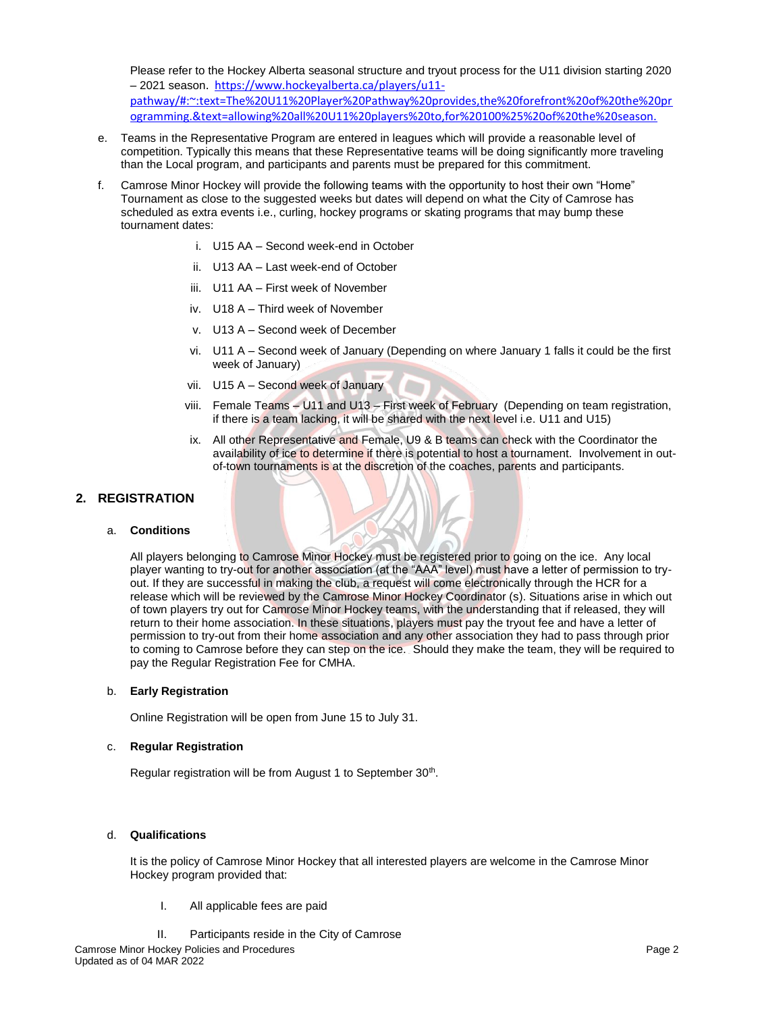Please refer to the Hockey Alberta seasonal structure and tryout process for the U11 division starting 2020 – 2021 season. [https://www.hockeyalberta.ca/players/u11](https://www.hockeyalberta.ca/players/u11-pathway/#:~:text=The%20U11%20Player%20Pathway%20provides,the%20forefront%20of%20the%20programming.&text=allowing%20all%20U11%20players%20to,for%20100%25%20of%20the%20season.) [pathway/#:~:text=The%20U11%20Player%20Pathway%20provides,the%20forefront%20of%20the%20pr](https://www.hockeyalberta.ca/players/u11-pathway/#:~:text=The%20U11%20Player%20Pathway%20provides,the%20forefront%20of%20the%20programming.&text=allowing%20all%20U11%20players%20to,for%20100%25%20of%20the%20season.) [ogramming.&text=allowing%20all%20U11%20players%20to,for%20100%25%20of%20the%20season.](https://www.hockeyalberta.ca/players/u11-pathway/#:~:text=The%20U11%20Player%20Pathway%20provides,the%20forefront%20of%20the%20programming.&text=allowing%20all%20U11%20players%20to,for%20100%25%20of%20the%20season.)

- e. Teams in the Representative Program are entered in leagues which will provide a reasonable level of competition. Typically this means that these Representative teams will be doing significantly more traveling than the Local program, and participants and parents must be prepared for this commitment.
- f. Camrose Minor Hockey will provide the following teams with the opportunity to host their own "Home" Tournament as close to the suggested weeks but dates will depend on what the City of Camrose has scheduled as extra events i.e., curling, hockey programs or skating programs that may bump these tournament dates:
	- i. U15 AA Second week-end in October
	- ii. U13 AA Last week-end of October
	- iii. U11 AA First week of November
	- iv. U18 A Third week of November
	- v. U13 A Second week of December
	- vi. U11 A Second week of January (Depending on where January 1 falls it could be the first week of January)
	- vii. U15 A Second week of January
	- viii. Female Teams U11 and U13 First week of February (Depending on team registration, if there is a team lacking, it will be shared with the next level i.e. U11 and U15)
	- ix. All other Representative and Female, U9 & B teams can check with the Coordinator the availability of ice to determine if there is potential to host a tournament. Involvement in outof-town tournaments is at the discretion of the coaches, parents and participants.

# **2. REGISTRATION**

### a. **Conditions**

All players belonging to Camrose Minor Hockey must be registered prior to going on the ice. Any local player wanting to try-out for another association (at the "AAA" level) must have a letter of permission to tryout. If they are successful in making the club, a request will come electronically through the HCR for a release which will be reviewed by the Camrose Minor Hockey Coordinator (s). Situations arise in which out of town players try out for Camrose Minor Hockey teams, with the understanding that if released, they will return to their home association. In these situations, players must pay the tryout fee and have a letter of permission to try-out from their home association and any other association they had to pass through prior to coming to Camrose before they can step on the ice. Should they make the team, they will be required to pay the Regular Registration Fee for CMHA.

### b. **Early Registration**

Online Registration will be open from June 15 to July 31.

# c. **Regular Registration**

Regular registration will be from August 1 to September 30<sup>th</sup>.

### d. **Qualifications**

It is the policy of Camrose Minor Hockey that all interested players are welcome in the Camrose Minor Hockey program provided that:

- I. All applicable fees are paid
- II. Participants reside in the City of Camrose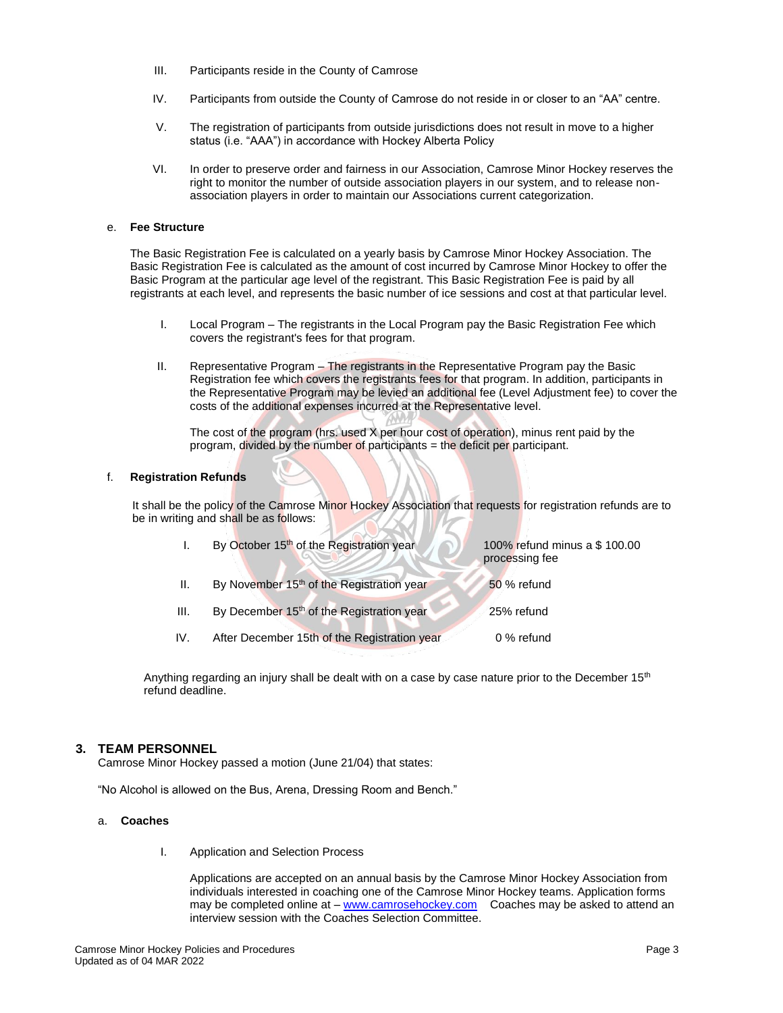- III. Participants reside in the County of Camrose
- IV. Participants from outside the County of Camrose do not reside in or closer to an "AA" centre.
- V. The registration of participants from outside jurisdictions does not result in move to a higher status (i.e. "AAA") in accordance with Hockey Alberta Policy
- VI. In order to preserve order and fairness in our Association, Camrose Minor Hockey reserves the right to monitor the number of outside association players in our system, and to release nonassociation players in order to maintain our Associations current categorization.

#### e. **Fee Structure**

The Basic Registration Fee is calculated on a yearly basis by Camrose Minor Hockey Association. The Basic Registration Fee is calculated as the amount of cost incurred by Camrose Minor Hockey to offer the Basic Program at the particular age level of the registrant. This Basic Registration Fee is paid by all registrants at each level, and represents the basic number of ice sessions and cost at that particular level.

- I. Local Program The registrants in the Local Program pay the Basic Registration Fee which covers the registrant's fees for that program.
- II. Representative Program The registrants in the Representative Program pay the Basic Registration fee which covers the registrants fees for that program. In addition, participants in the Representative Program may be levied an additional fee (Level Adjustment fee) to cover the costs of the additional expenses incurred at the Representative level.

The cost of the program (hrs. used X per hour cost of operation), minus rent paid by the program, divided by the number of participants = the deficit per participant.

#### f. **Registration Refunds**

It shall be the policy of the Camrose Minor Hockey Association that requests for registration refunds are to be in writing and shall be as follows:

|      | By October 15 <sup>th</sup> of the Registration year  | 100% refund minus a \$ 100.00<br>processing fee |
|------|-------------------------------------------------------|-------------------------------------------------|
| Ш.   | By November 15 <sup>th</sup> of the Registration year | 50 % refund                                     |
| III. | By December 15 <sup>th</sup> of the Registration year | 25% refund                                      |
| IV.  | After December 15th of the Registration year          | 0 % refund                                      |

Anything regarding an injury shall be dealt with on a case by case nature prior to the December  $15<sup>th</sup>$ refund deadline.

#### **3. TEAM PERSONNEL**

Camrose Minor Hockey passed a motion (June 21/04) that states:

"No Alcohol is allowed on the Bus, Arena, Dressing Room and Bench."

### a. **Coaches**

I. Application and Selection Process

Applications are accepted on an annual basis by the Camrose Minor Hockey Association from individuals interested in coaching one of the Camrose Minor Hockey teams. Application forms may be completed online at – [www.camrosehockey.com](http://www.camrosehockey.com/) Coaches may be asked to attend an interview session with the Coaches Selection Committee.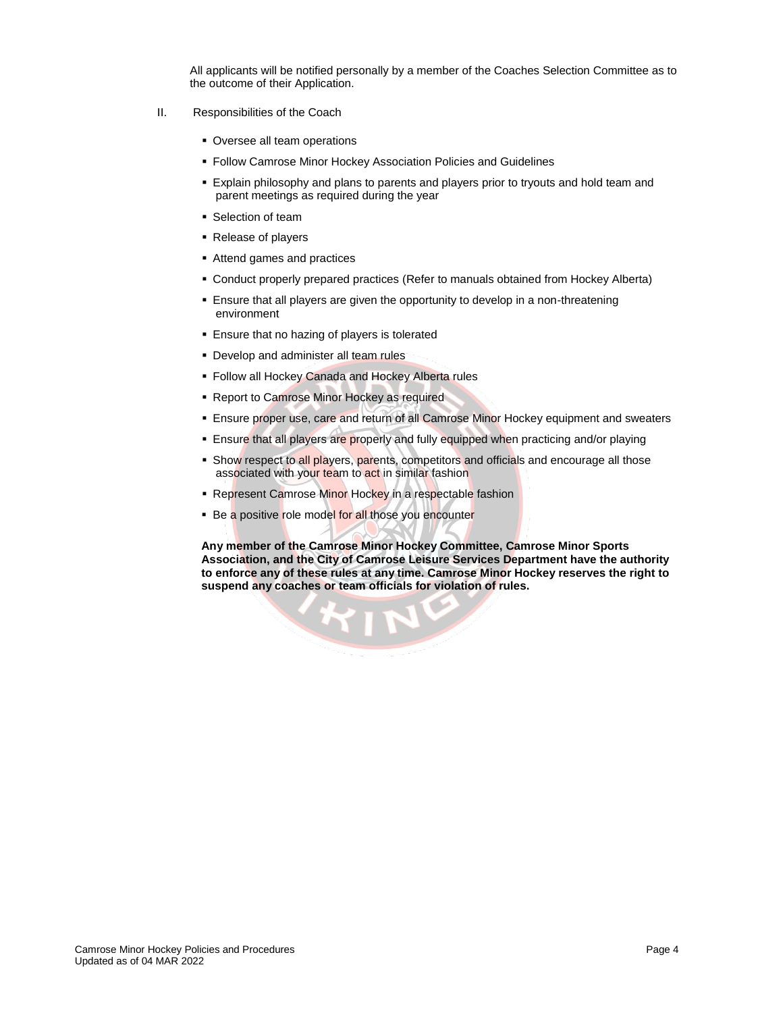All applicants will be notified personally by a member of the Coaches Selection Committee as to the outcome of their Application.

- II. Responsibilities of the Coach
	- Oversee all team operations
	- Follow Camrose Minor Hockey Association Policies and Guidelines
	- **Explain philosophy and plans to parents and players prior to tryouts and hold team and** parent meetings as required during the year
	- Selection of team
	- Release of players
	- Attend games and practices
	- Conduct properly prepared practices (Refer to manuals obtained from Hockey Alberta)
	- Ensure that all players are given the opportunity to develop in a non-threatening environment
	- Ensure that no hazing of players is tolerated
	- **Develop and administer all team rules**
	- **E** Follow all Hockey Canada and Hockey Alberta rules
	- **Report to Camrose Minor Hockey as required**
	- **Ensure proper use, care and return of all Camrose Minor Hockey equipment and sweaters**
	- **E** Ensure that all players are properly and fully equipped when practicing and/or playing
	- **EXECT** Show respect to all players, parents, competitors and officials and encourage all those associated with your team to act in similar fashion
	- Represent Camrose Minor Hockey in a respectable fashion
	- **Example 2** Be a positive role model for all those you encounter

**Any member of the Camrose Minor Hockey Committee, Camrose Minor Sports Association, and the City of Camrose Leisure Services Department have the authority to enforce any of these rules at any time. Camrose Minor Hockey reserves the right to suspend any coaches or team officials for violation of rules.**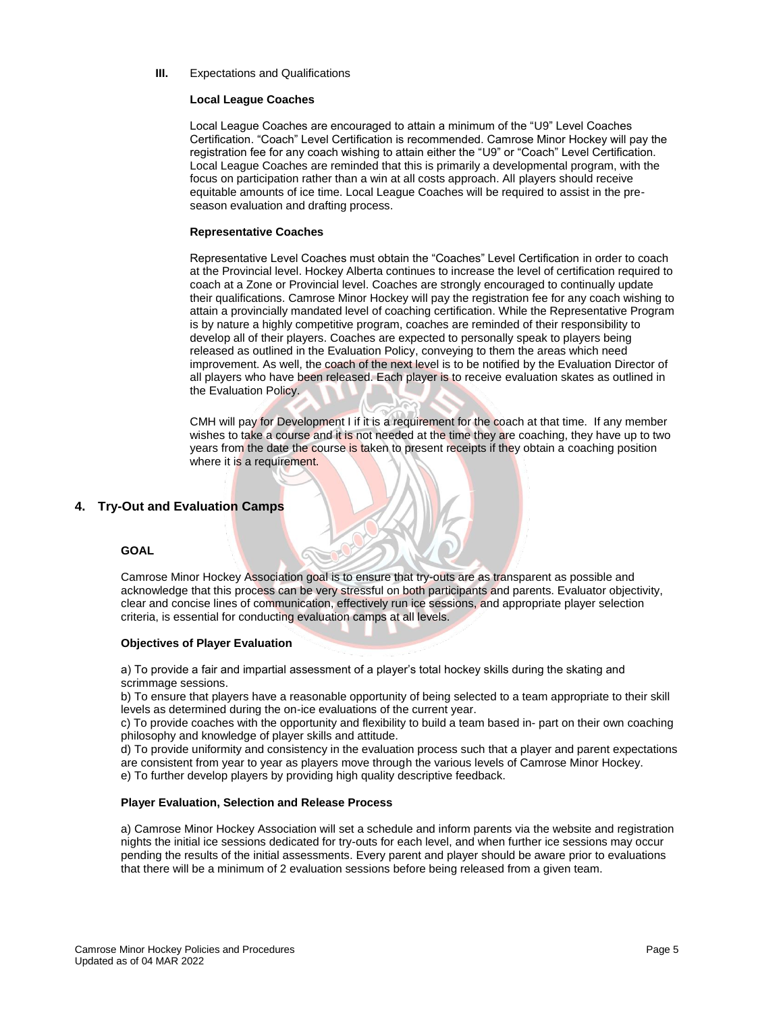#### **III.** Expectations and Qualifications

### **Local League Coaches**

Local League Coaches are encouraged to attain a minimum of the "U9" Level Coaches Certification. "Coach" Level Certification is recommended. Camrose Minor Hockey will pay the registration fee for any coach wishing to attain either the "U9" or "Coach" Level Certification. Local League Coaches are reminded that this is primarily a developmental program, with the focus on participation rather than a win at all costs approach. All players should receive equitable amounts of ice time. Local League Coaches will be required to assist in the preseason evaluation and drafting process.

#### **Representative Coaches**

Representative Level Coaches must obtain the "Coaches" Level Certification in order to coach at the Provincial level. Hockey Alberta continues to increase the level of certification required to coach at a Zone or Provincial level. Coaches are strongly encouraged to continually update their qualifications. Camrose Minor Hockey will pay the registration fee for any coach wishing to attain a provincially mandated level of coaching certification. While the Representative Program is by nature a highly competitive program, coaches are reminded of their responsibility to develop all of their players. Coaches are expected to personally speak to players being released as outlined in the Evaluation Policy, conveying to them the areas which need improvement. As well, the coach of the next level is to be notified by the Evaluation Director of all players who have been released. Each player is to receive evaluation skates as outlined in the Evaluation Policy.

CMH will pay for Development I if it is a requirement for the coach at that time. If any member wishes to take a course and it is not needed at the time they are coaching, they have up to two years from the date the course is taken to present receipts if they obtain a coaching position where it is a requirement.

# **4. Try-Out and Evaluation Camps**

### **GOAL**

Camrose Minor Hockey Association goal is to ensure that try-outs are as transparent as possible and acknowledge that this process can be very stressful on both participants and parents. Evaluator objectivity, clear and concise lines of communication, effectively run ice sessions, and appropriate player selection criteria, is essential for conducting evaluation camps at all levels.

#### **Objectives of Player Evaluation**

a) To provide a fair and impartial assessment of a player's total hockey skills during the skating and scrimmage sessions.

b) To ensure that players have a reasonable opportunity of being selected to a team appropriate to their skill levels as determined during the on-ice evaluations of the current year.

c) To provide coaches with the opportunity and flexibility to build a team based in- part on their own coaching philosophy and knowledge of player skills and attitude.

d) To provide uniformity and consistency in the evaluation process such that a player and parent expectations are consistent from year to year as players move through the various levels of Camrose Minor Hockey. e) To further develop players by providing high quality descriptive feedback.

#### **Player Evaluation, Selection and Release Process**

a) Camrose Minor Hockey Association will set a schedule and inform parents via the website and registration nights the initial ice sessions dedicated for try-outs for each level, and when further ice sessions may occur pending the results of the initial assessments. Every parent and player should be aware prior to evaluations that there will be a minimum of 2 evaluation sessions before being released from a given team.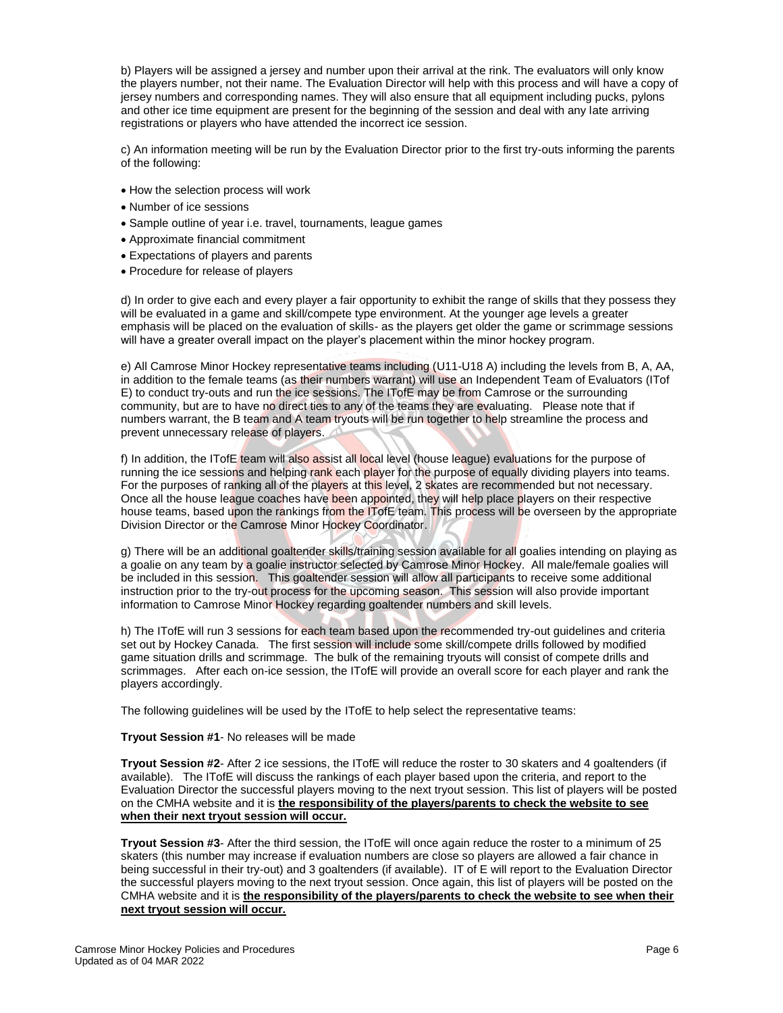b) Players will be assigned a jersey and number upon their arrival at the rink. The evaluators will only know the players number, not their name. The Evaluation Director will help with this process and will have a copy of jersey numbers and corresponding names. They will also ensure that all equipment including pucks, pylons and other ice time equipment are present for the beginning of the session and deal with any late arriving registrations or players who have attended the incorrect ice session.

c) An information meeting will be run by the Evaluation Director prior to the first try-outs informing the parents of the following:

- How the selection process will work
- Number of ice sessions
- Sample outline of year i.e. travel, tournaments, league games
- Approximate financial commitment
- Expectations of players and parents
- Procedure for release of players

d) In order to give each and every player a fair opportunity to exhibit the range of skills that they possess they will be evaluated in a game and skill/compete type environment. At the younger age levels a greater emphasis will be placed on the evaluation of skills- as the players get older the game or scrimmage sessions will have a greater overall impact on the player's placement within the minor hockey program.

e) All Camrose Minor Hockey representative teams including (U11-U18 A) including the levels from B, A, AA, in addition to the female teams (as their numbers warrant) will use an Independent Team of Evaluators (ITof E) to conduct try-outs and run the ice sessions. The ITofE may be from Camrose or the surrounding community, but are to have no direct ties to any of the teams they are evaluating. Please note that if numbers warrant, the B team and A team tryouts will be run together to help streamline the process and prevent unnecessary release of players.

f) In addition, the ITofE team will also assist all local level (house league) evaluations for the purpose of running the ice sessions and helping rank each player for the purpose of equally dividing players into teams. For the purposes of ranking all of the players at this level, 2 skates are recommended but not necessary. Once all the house league coaches have been appointed, they will help place players on their respective house teams, based upon the rankings from the ITofE team. This process will be overseen by the appropriate Division Director or the Camrose Minor Hockey Coordinator.

g) There will be an additional goaltender skills/training session available for all goalies intending on playing as a goalie on any team by a goalie instructor selected by Camrose Minor Hockey. All male/female goalies will be included in this session. This goaltender session will allow all participants to receive some additional instruction prior to the try-out process for the upcoming season. This session will also provide important information to Camrose Minor Hockey regarding goaltender numbers and skill levels.

h) The ITofE will run 3 sessions for each team based upon the recommended try-out guidelines and criteria set out by Hockey Canada. The first session will include some skill/compete drills followed by modified game situation drills and scrimmage. The bulk of the remaining tryouts will consist of compete drills and scrimmages. After each on-ice session, the ITofE will provide an overall score for each player and rank the players accordingly.

The following guidelines will be used by the ITofE to help select the representative teams:

**Tryout Session #1**- No releases will be made

**Tryout Session #2**- After 2 ice sessions, the ITofE will reduce the roster to 30 skaters and 4 goaltenders (if available). The ITofE will discuss the rankings of each player based upon the criteria, and report to the Evaluation Director the successful players moving to the next tryout session. This list of players will be posted on the CMHA website and it is **the responsibility of the players/parents to check the website to see when their next tryout session will occur.** 

**Tryout Session #3**- After the third session, the ITofE will once again reduce the roster to a minimum of 25 skaters (this number may increase if evaluation numbers are close so players are allowed a fair chance in being successful in their try-out) and 3 goaltenders (if available). IT of E will report to the Evaluation Director the successful players moving to the next tryout session. Once again, this list of players will be posted on the CMHA website and it is **the responsibility of the players/parents to check the website to see when their next tryout session will occur.**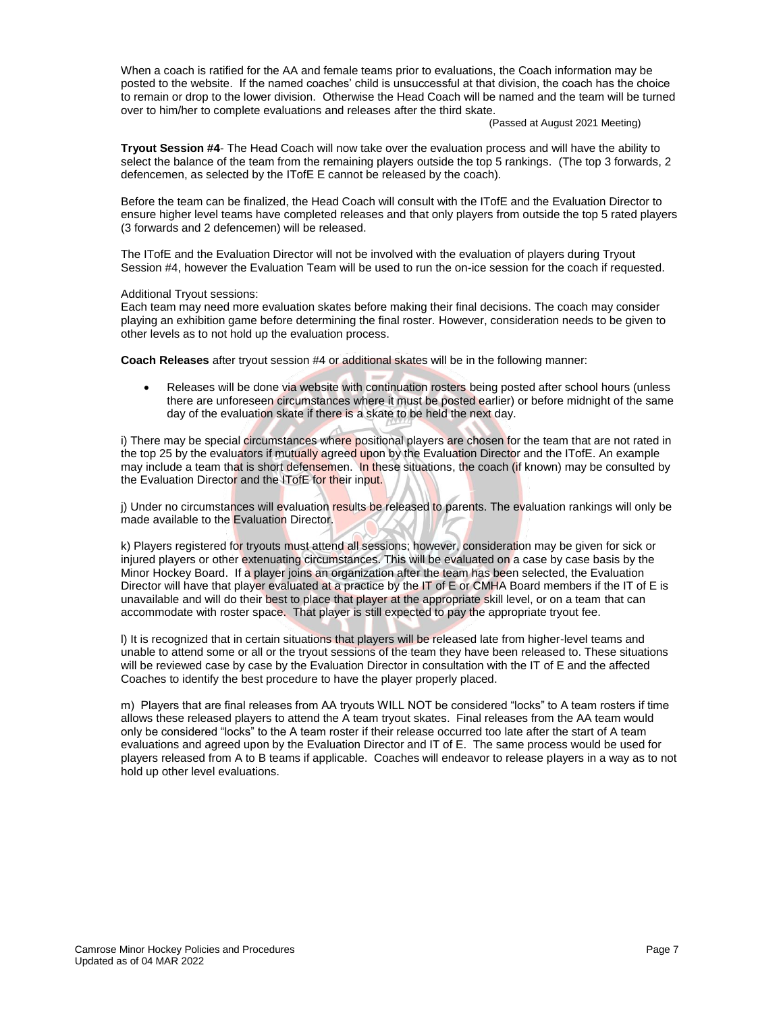When a coach is ratified for the AA and female teams prior to evaluations, the Coach information may be posted to the website. If the named coaches' child is unsuccessful at that division, the coach has the choice to remain or drop to the lower division. Otherwise the Head Coach will be named and the team will be turned over to him/her to complete evaluations and releases after the third skate.

#### (Passed at August 2021 Meeting)

**Tryout Session #4**- The Head Coach will now take over the evaluation process and will have the ability to select the balance of the team from the remaining players outside the top 5 rankings. (The top 3 forwards, 2 defencemen, as selected by the ITofE E cannot be released by the coach).

Before the team can be finalized, the Head Coach will consult with the ITofE and the Evaluation Director to ensure higher level teams have completed releases and that only players from outside the top 5 rated players (3 forwards and 2 defencemen) will be released.

The ITofE and the Evaluation Director will not be involved with the evaluation of players during Tryout Session #4, however the Evaluation Team will be used to run the on-ice session for the coach if requested.

#### Additional Tryout sessions:

Each team may need more evaluation skates before making their final decisions. The coach may consider playing an exhibition game before determining the final roster. However, consideration needs to be given to other levels as to not hold up the evaluation process.

**Coach Releases** after tryout session #4 or additional skates will be in the following manner:

Releases will be done via website with continuation rosters being posted after school hours (unless there are unforeseen circumstances where it must be posted earlier) or before midnight of the same day of the evaluation skate if there is a skate to be held the next day.

i) There may be special circumstances where positional players are chosen for the team that are not rated in the top 25 by the evaluators if mutually agreed upon by the Evaluation Director and the ITofE. An example may include a team that is short defensemen. In these situations, the coach (if known) may be consulted by the Evaluation Director and the ITofE for their input.

j) Under no circumstances will evaluation results be released to parents. The evaluation rankings will only be made available to the Evaluation Director.

k) Players registered for tryouts must attend all sessions; however, consideration may be given for sick or injured players or other extenuating circumstances. This will be evaluated on a case by case basis by the Minor Hockey Board. If a player joins an organization after the team has been selected, the Evaluation Director will have that player evaluated at a practice by the IT of E or CMHA Board members if the IT of E is unavailable and will do their best to place that player at the appropriate skill level, or on a team that can accommodate with roster space. That player is still expected to pay the appropriate tryout fee.

l) It is recognized that in certain situations that players will be released late from higher-level teams and unable to attend some or all or the tryout sessions of the team they have been released to. These situations will be reviewed case by case by the Evaluation Director in consultation with the IT of E and the affected Coaches to identify the best procedure to have the player properly placed.

m) Players that are final releases from AA tryouts WILL NOT be considered "locks" to A team rosters if time allows these released players to attend the A team tryout skates. Final releases from the AA team would only be considered "locks" to the A team roster if their release occurred too late after the start of A team evaluations and agreed upon by the Evaluation Director and IT of E. The same process would be used for players released from A to B teams if applicable. Coaches will endeavor to release players in a way as to not hold up other level evaluations.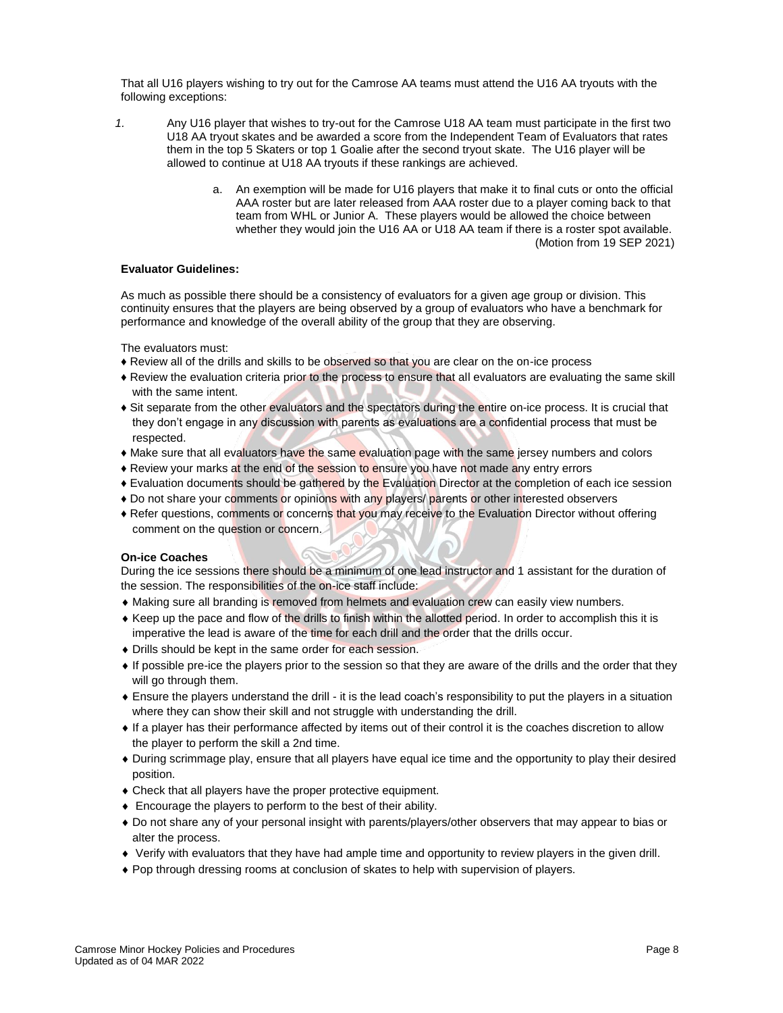That all U16 players wishing to try out for the Camrose AA teams must attend the U16 AA tryouts with the following exceptions:

- *1.* Any U16 player that wishes to try-out for the Camrose U18 AA team must participate in the first two U18 AA tryout skates and be awarded a score from the Independent Team of Evaluators that rates them in the top 5 Skaters or top 1 Goalie after the second tryout skate. The U16 player will be allowed to continue at U18 AA tryouts if these rankings are achieved.
	- a. An exemption will be made for U16 players that make it to final cuts or onto the official AAA roster but are later released from AAA roster due to a player coming back to that team from WHL or Junior A. These players would be allowed the choice between whether they would join the U16 AA or U18 AA team if there is a roster spot available. (Motion from 19 SEP 2021)

#### **Evaluator Guidelines:**

As much as possible there should be a consistency of evaluators for a given age group or division. This continuity ensures that the players are being observed by a group of evaluators who have a benchmark for performance and knowledge of the overall ability of the group that they are observing.

The evaluators must:

- ♦ Review all of the drills and skills to be observed so that you are clear on the on-ice process
- ♦ Review the evaluation criteria prior to the process to ensure that all evaluators are evaluating the same skill with the same intent.
- ♦ Sit separate from the other evaluators and the spectators during the entire on-ice process. It is crucial that they don't engage in any discussion with parents as evaluations are a confidential process that must be respected.
- ♦ Make sure that all evaluators have the same evaluation page with the same jersey numbers and colors
- ♦ Review your marks at the end of the session to ensure you have not made any entry errors
- ♦ Evaluation documents should be gathered by the Evaluation Director at the completion of each ice session
- ♦ Do not share your comments or opinions with any players/ parents or other interested observers
- ♦ Refer questions, comments or concerns that you may receive to the Evaluation Director without offering comment on the question or concern.

### **On-ice Coaches**

During the ice sessions there should be a minimum of one lead instructor and 1 assistant for the duration of the session. The responsibilities of the on-ice staff include:

- Making sure all branding is removed from helmets and evaluation crew can easily view numbers.
- Keep up the pace and flow of the drills to finish within the allotted period. In order to accomplish this it is imperative the lead is aware of the time for each drill and the order that the drills occur.
- **•** Drills should be kept in the same order for each session.
- If possible pre-ice the players prior to the session so that they are aware of the drills and the order that they will go through them.
- Ensure the players understand the drill it is the lead coach's responsibility to put the players in a situation where they can show their skill and not struggle with understanding the drill.
- If a player has their performance affected by items out of their control it is the coaches discretion to allow the player to perform the skill a 2nd time.
- During scrimmage play, ensure that all players have equal ice time and the opportunity to play their desired position.
- Check that all players have the proper protective equipment.
- Encourage the players to perform to the best of their ability.
- Do not share any of your personal insight with parents/players/other observers that may appear to bias or alter the process.
- Verify with evaluators that they have had ample time and opportunity to review players in the given drill.
- Pop through dressing rooms at conclusion of skates to help with supervision of players.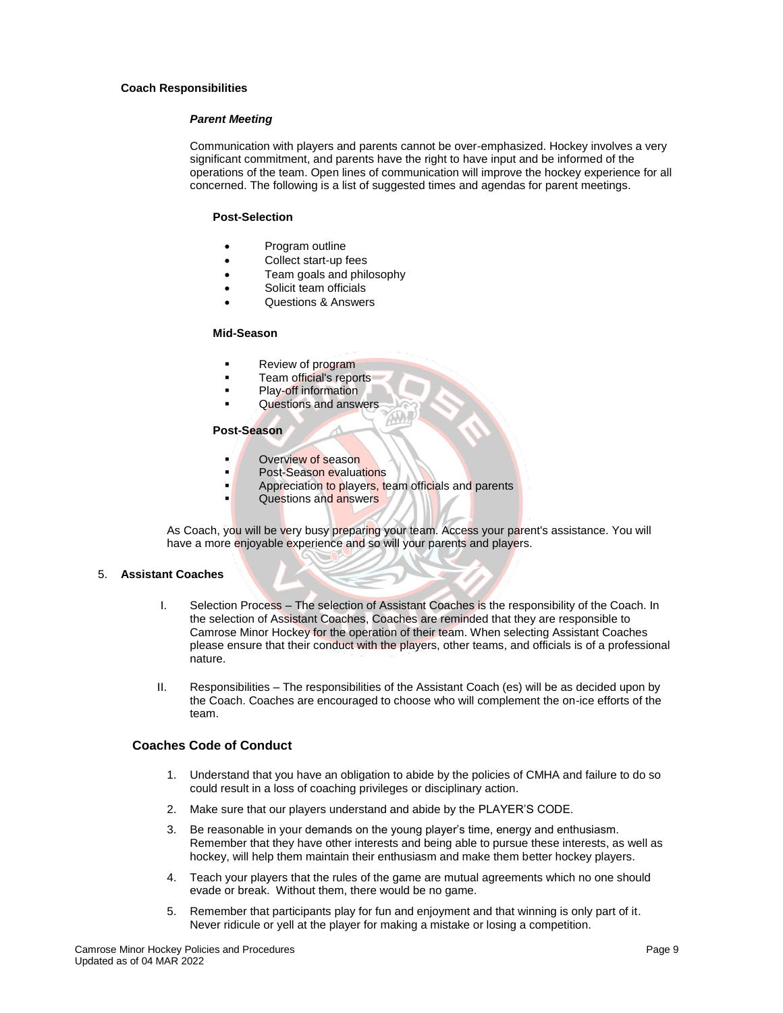# **Coach Responsibilities**

# *Parent Meeting*

Communication with players and parents cannot be over-emphasized. Hockey involves a very significant commitment, and parents have the right to have input and be informed of the operations of the team. Open lines of communication will improve the hockey experience for all concerned. The following is a list of suggested times and agendas for parent meetings.

### **Post-Selection**

- Program outline
- Collect start-up fees
- Team goals and philosophy
- Solicit team officials
- Questions & Answers

#### **Mid-Season**

- **EXECUTE:** Review of program
- Team official's reports
- Play-off information
- Questions and answers

### **Post-Season**

- Overview of season
- **Post-Season evaluations**
- Appreciation to players, team officials and parents
- Questions and answers

As Coach, you will be very busy preparing your team. Access your parent's assistance. You will have a more enjoyable experience and so will your parents and players.

#### 5. **Assistant Coaches**

- I. Selection Process The selection of Assistant Coaches is the responsibility of the Coach. In the selection of Assistant Coaches, Coaches are reminded that they are responsible to Camrose Minor Hockey for the operation of their team. When selecting Assistant Coaches please ensure that their conduct with the players, other teams, and officials is of a professional nature.
- II. Responsibilities The responsibilities of the Assistant Coach (es) will be as decided upon by the Coach. Coaches are encouraged to choose who will complement the on-ice efforts of the team.

### **Coaches Code of Conduct**

- 1. Understand that you have an obligation to abide by the policies of CMHA and failure to do so could result in a loss of coaching privileges or disciplinary action.
- 2. Make sure that our players understand and abide by the PLAYER'S CODE.
- 3. Be reasonable in your demands on the young player's time, energy and enthusiasm. Remember that they have other interests and being able to pursue these interests, as well as hockey, will help them maintain their enthusiasm and make them better hockey players.
- 4. Teach your players that the rules of the game are mutual agreements which no one should evade or break. Without them, there would be no game.
- 5. Remember that participants play for fun and enjoyment and that winning is only part of it. Never ridicule or yell at the player for making a mistake or losing a competition.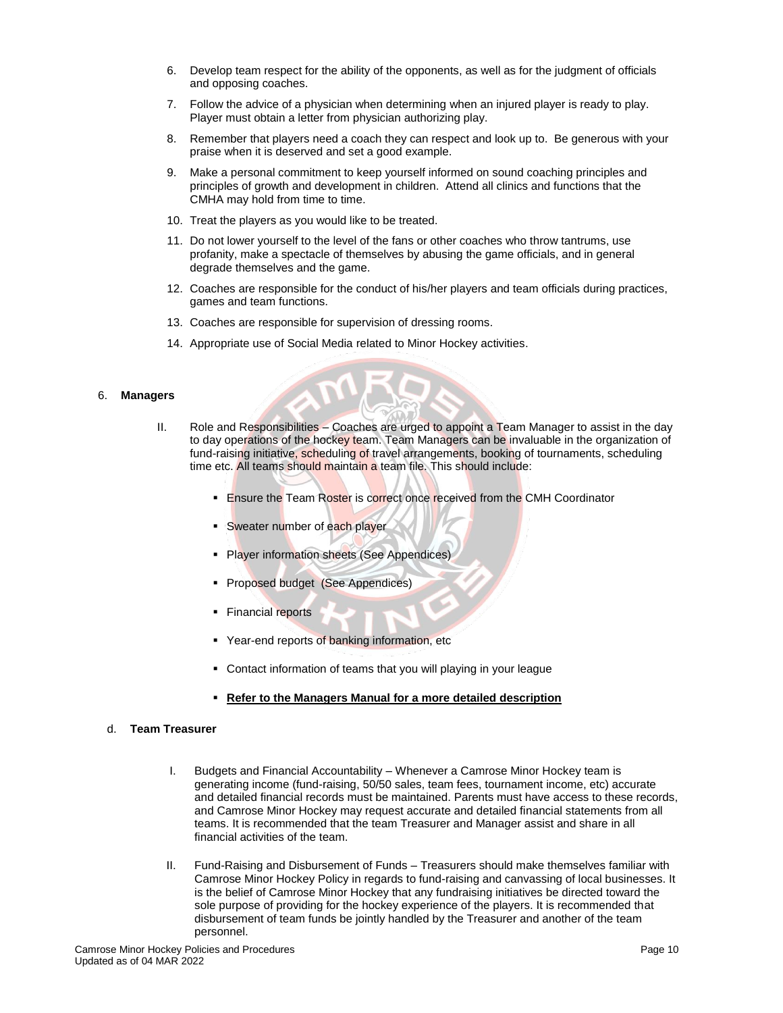- 6. Develop team respect for the ability of the opponents, as well as for the judgment of officials and opposing coaches.
- 7. Follow the advice of a physician when determining when an injured player is ready to play. Player must obtain a letter from physician authorizing play.
- 8. Remember that players need a coach they can respect and look up to. Be generous with your praise when it is deserved and set a good example.
- 9. Make a personal commitment to keep yourself informed on sound coaching principles and principles of growth and development in children. Attend all clinics and functions that the CMHA may hold from time to time.
- 10. Treat the players as you would like to be treated.
- 11. Do not lower yourself to the level of the fans or other coaches who throw tantrums, use profanity, make a spectacle of themselves by abusing the game officials, and in general degrade themselves and the game.
- 12. Coaches are responsible for the conduct of his/her players and team officials during practices, games and team functions.
- 13. Coaches are responsible for supervision of dressing rooms.
- 14. Appropriate use of Social Media related to Minor Hockey activities.

#### 6. **Managers**

- II. Role and Responsibilities Coaches are urged to appoint a Team Manager to assist in the day to day operations of the hockey team. Team Managers can be invaluable in the organization of fund-raising initiative, scheduling of travel arrangements, booking of tournaments, scheduling time etc. All teams should maintain a team file. This should include:
	- **Ensure the Team Roster is correct once received from the CMH Coordinator**
	- Sweater number of each player
	- **Player information sheets (See Appendices)**
	- **Proposed budget (See Appendices)**
	- **Einancial reports**
	- **EXECT** Year-end reports of banking information, etc
	- **Contact information of teams that you will playing in your league**
	- **Refer to the Managers Manual for a more detailed description**

#### d. **Team Treasurer**

- I. Budgets and Financial Accountability Whenever a Camrose Minor Hockey team is generating income (fund-raising, 50/50 sales, team fees, tournament income, etc) accurate and detailed financial records must be maintained. Parents must have access to these records, and Camrose Minor Hockey may request accurate and detailed financial statements from all teams. It is recommended that the team Treasurer and Manager assist and share in all financial activities of the team.
- II. Fund-Raising and Disbursement of Funds Treasurers should make themselves familiar with Camrose Minor Hockey Policy in regards to fund-raising and canvassing of local businesses. It is the belief of Camrose Minor Hockey that any fundraising initiatives be directed toward the sole purpose of providing for the hockey experience of the players. It is recommended that disbursement of team funds be jointly handled by the Treasurer and another of the team personnel.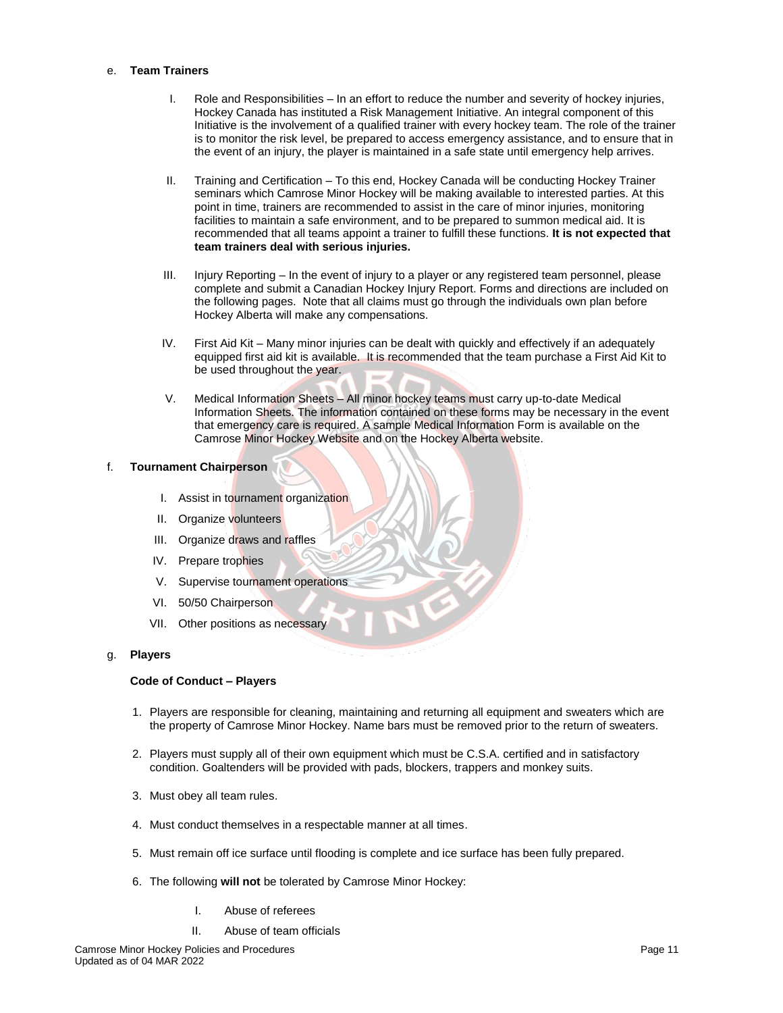### e. **Team Trainers**

- I. Role and Responsibilities In an effort to reduce the number and severity of hockey injuries, Hockey Canada has instituted a Risk Management Initiative. An integral component of this Initiative is the involvement of a qualified trainer with every hockey team. The role of the trainer is to monitor the risk level, be prepared to access emergency assistance, and to ensure that in the event of an injury, the player is maintained in a safe state until emergency help arrives.
- II. Training and Certification To this end, Hockey Canada will be conducting Hockey Trainer seminars which Camrose Minor Hockey will be making available to interested parties. At this point in time, trainers are recommended to assist in the care of minor injuries, monitoring facilities to maintain a safe environment, and to be prepared to summon medical aid. It is recommended that all teams appoint a trainer to fulfill these functions. **It is not expected that team trainers deal with serious injuries.**
- III. Injury Reporting In the event of injury to a player or any registered team personnel, please complete and submit a Canadian Hockey Injury Report. Forms and directions are included on the following pages. Note that all claims must go through the individuals own plan before Hockey Alberta will make any compensations.
- IV. First Aid Kit Many minor injuries can be dealt with quickly and effectively if an adequately equipped first aid kit is available. It is recommended that the team purchase a First Aid Kit to be used throughout the year.
- V. Medical Information Sheets All minor hockey teams must carry up-to-date Medical Information Sheets. The information contained on these forms may be necessary in the event that emergency care is required. A sample Medical Information Form is available on the Camrose Minor Hockey Website and on the Hockey Alberta website.

### f. **Tournament Chairperson**

- I. Assist in tournament organization
- II. Organize volunteers
- III. Organize draws and raffles
- IV. Prepare trophies
- V. Supervise tournament operations
- VI. 50/50 Chairperson
- VII. Other positions as necessary

#### g. **Players**

#### **Code of Conduct – Players**

- 1. Players are responsible for cleaning, maintaining and returning all equipment and sweaters which are the property of Camrose Minor Hockey. Name bars must be removed prior to the return of sweaters.
- 2. Players must supply all of their own equipment which must be C.S.A. certified and in satisfactory condition. Goaltenders will be provided with pads, blockers, trappers and monkey suits.
- 3. Must obey all team rules.
- 4. Must conduct themselves in a respectable manner at all times.
- 5. Must remain off ice surface until flooding is complete and ice surface has been fully prepared.
- 6. The following **will not** be tolerated by Camrose Minor Hockey:
	- I. Abuse of referees
	- II. Abuse of team officials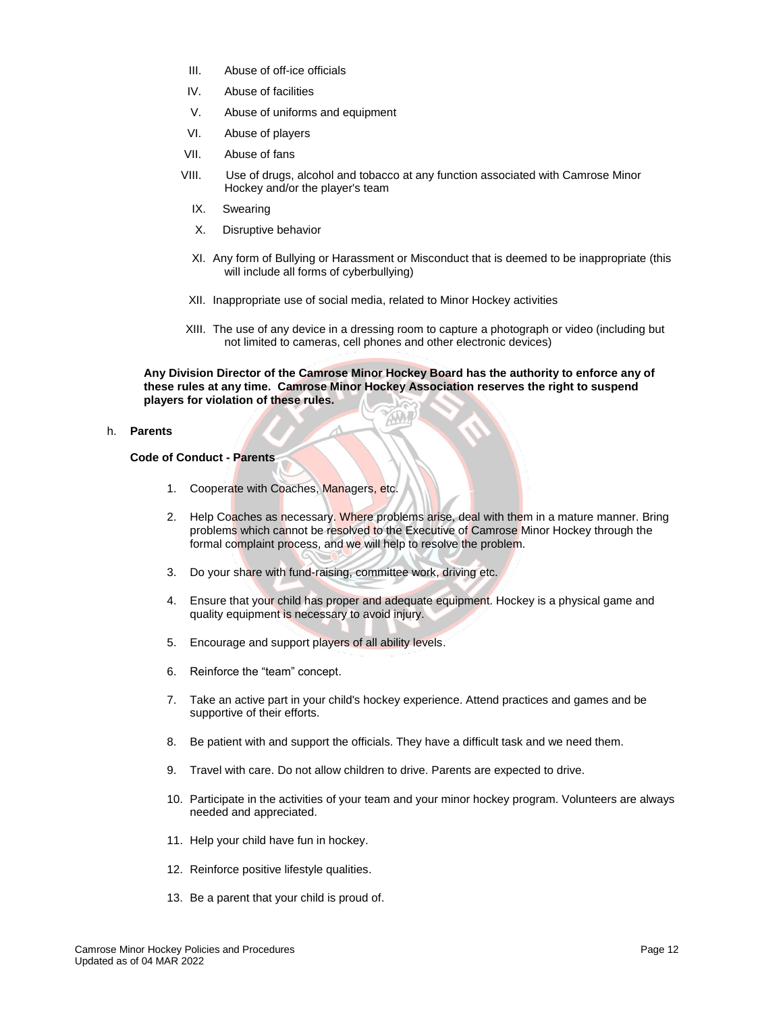- III. Abuse of off-ice officials
- IV. Abuse of facilities
- V. Abuse of uniforms and equipment
- VI. Abuse of players
- VII. Abuse of fans
- VIII. Use of drugs, alcohol and tobacco at any function associated with Camrose Minor Hockey and/or the player's team
	- IX. Swearing
	- X. Disruptive behavior
	- XI. Any form of Bullying or Harassment or Misconduct that is deemed to be inappropriate (this will include all forms of cyberbullying)
- XII. Inappropriate use of social media, related to Minor Hockey activities
- XIII. The use of any device in a dressing room to capture a photograph or video (including but not limited to cameras, cell phones and other electronic devices)

**Any Division Director of the Camrose Minor Hockey Board has the authority to enforce any of these rules at any time. Camrose Minor Hockey Association reserves the right to suspend players for violation of these rules.**

### h. **Parents**

**Code of Conduct - Parents**

- 1. Cooperate with Coaches, Managers, etc.
- 2. Help Coaches as necessary. Where problems arise, deal with them in a mature manner. Bring problems which cannot be resolved to the Executive of Camrose Minor Hockey through the formal complaint process, and we will help to resolve the problem.
- 3. Do your share with fund-raising, committee work, driving etc.
- 4. Ensure that your child has proper and adequate equipment. Hockey is a physical game and quality equipment is necessary to avoid injury.
- 5. Encourage and support players of all ability levels.
- 6. Reinforce the "team" concept.
- 7. Take an active part in your child's hockey experience. Attend practices and games and be supportive of their efforts.
- 8. Be patient with and support the officials. They have a difficult task and we need them.
- 9. Travel with care. Do not allow children to drive. Parents are expected to drive.
- 10. Participate in the activities of your team and your minor hockey program. Volunteers are always needed and appreciated.
- 11. Help your child have fun in hockey.
- 12. Reinforce positive lifestyle qualities.
- 13. Be a parent that your child is proud of.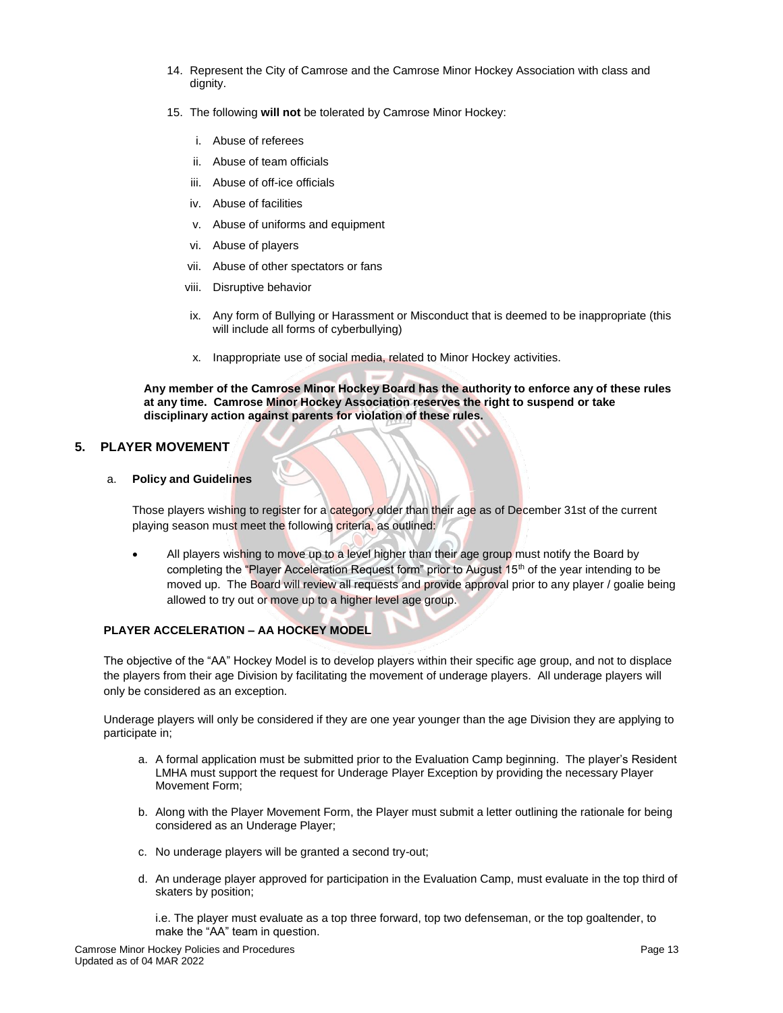- 14. Represent the City of Camrose and the Camrose Minor Hockey Association with class and dignity.
- 15. The following **will not** be tolerated by Camrose Minor Hockey:
	- i. Abuse of referees
	- ii. Abuse of team officials
	- iii. Abuse of off-ice officials
	- iv. Abuse of facilities
	- v. Abuse of uniforms and equipment
	- vi. Abuse of players
	- vii. Abuse of other spectators or fans
	- viii. Disruptive behavior
	- ix. Any form of Bullying or Harassment or Misconduct that is deemed to be inappropriate (this will include all forms of cyberbullying)
	- x. Inappropriate use of social media, related to Minor Hockey activities.

**Any member of the Camrose Minor Hockey Board has the authority to enforce any of these rules at any time. Camrose Minor Hockey Association reserves the right to suspend or take disciplinary action against parents for violation of these rules.**

# **5. PLAYER MOVEMENT**

a. **Policy and Guidelines**

Those players wishing to register for a category older than their age as of December 31st of the current playing season must meet the following criteria, as outlined:

All players wishing to move up to a level higher than their age group must notify the Board by completing the "Player Acceleration Request form" prior to August 15<sup>th</sup> of the year intending to be moved up. The Board will review all requests and provide approval prior to any player / goalie being allowed to try out or move up to a higher level age group.

# **PLAYER ACCELERATION – AA HOCKEY MODEL**

The objective of the "AA" Hockey Model is to develop players within their specific age group, and not to displace the players from their age Division by facilitating the movement of underage players. All underage players will only be considered as an exception.

Underage players will only be considered if they are one year younger than the age Division they are applying to participate in;

- a. A formal application must be submitted prior to the Evaluation Camp beginning. The player's Resident LMHA must support the request for Underage Player Exception by providing the necessary Player Movement Form;
- b. Along with the Player Movement Form, the Player must submit a letter outlining the rationale for being considered as an Underage Player;
- c. No underage players will be granted a second try-out;
- d. An underage player approved for participation in the Evaluation Camp, must evaluate in the top third of skaters by position;

i.e. The player must evaluate as a top three forward, top two defenseman, or the top goaltender, to make the "AA" team in question.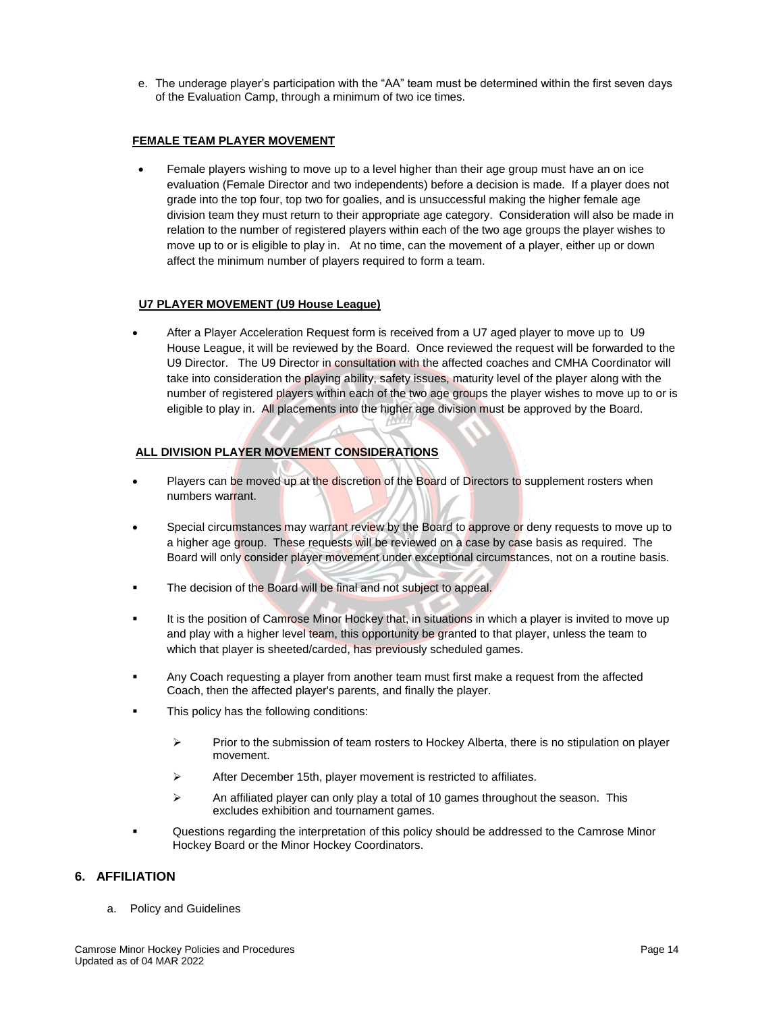e. The underage player's participation with the "AA" team must be determined within the first seven days of the Evaluation Camp, through a minimum of two ice times.

# **FEMALE TEAM PLAYER MOVEMENT**

• Female players wishing to move up to a level higher than their age group must have an on ice evaluation (Female Director and two independents) before a decision is made. If a player does not grade into the top four, top two for goalies, and is unsuccessful making the higher female age division team they must return to their appropriate age category. Consideration will also be made in relation to the number of registered players within each of the two age groups the player wishes to move up to or is eligible to play in. At no time, can the movement of a player, either up or down affect the minimum number of players required to form a team.

### **U7 PLAYER MOVEMENT (U9 House League)**

• After a Player Acceleration Request form is received from a U7 aged player to move up to U9 House League, it will be reviewed by the Board. Once reviewed the request will be forwarded to the U9 Director. The U9 Director in consultation with the affected coaches and CMHA Coordinator will take into consideration the playing ability, safety issues, maturity level of the player along with the number of registered players within each of the two age groups the player wishes to move up to or is eligible to play in. All placements into the higher age division must be approved by the Board.

# **ALL DIVISION PLAYER MOVEMENT CONSIDERATIONS**

- Players can be moved up at the discretion of the Board of Directors to supplement rosters when numbers warrant.
- Special circumstances may warrant review by the Board to approve or deny requests to move up to a higher age group. These requests will be reviewed on a case by case basis as required. The Board will only consider player movement under exceptional circumstances, not on a routine basis.
- The decision of the Board will be final and not subject to appeal.
- It is the position of Camrose Minor Hockey that, in situations in which a player is invited to move up and play with a higher level team, this opportunity be granted to that player, unless the team to which that player is sheeted/carded, has previously scheduled games.
- Any Coach requesting a player from another team must first make a request from the affected Coach, then the affected player's parents, and finally the player.
- This policy has the following conditions:
	- $\triangleright$  Prior to the submission of team rosters to Hockey Alberta, there is no stipulation on player movement.
	- ➢ After December 15th, player movement is restricted to affiliates.
	- $\triangleright$  An affiliated player can only play a total of 10 games throughout the season. This excludes exhibition and tournament games.
- Questions regarding the interpretation of this policy should be addressed to the Camrose Minor Hockey Board or the Minor Hockey Coordinators.

# **6. AFFILIATION**

a. Policy and Guidelines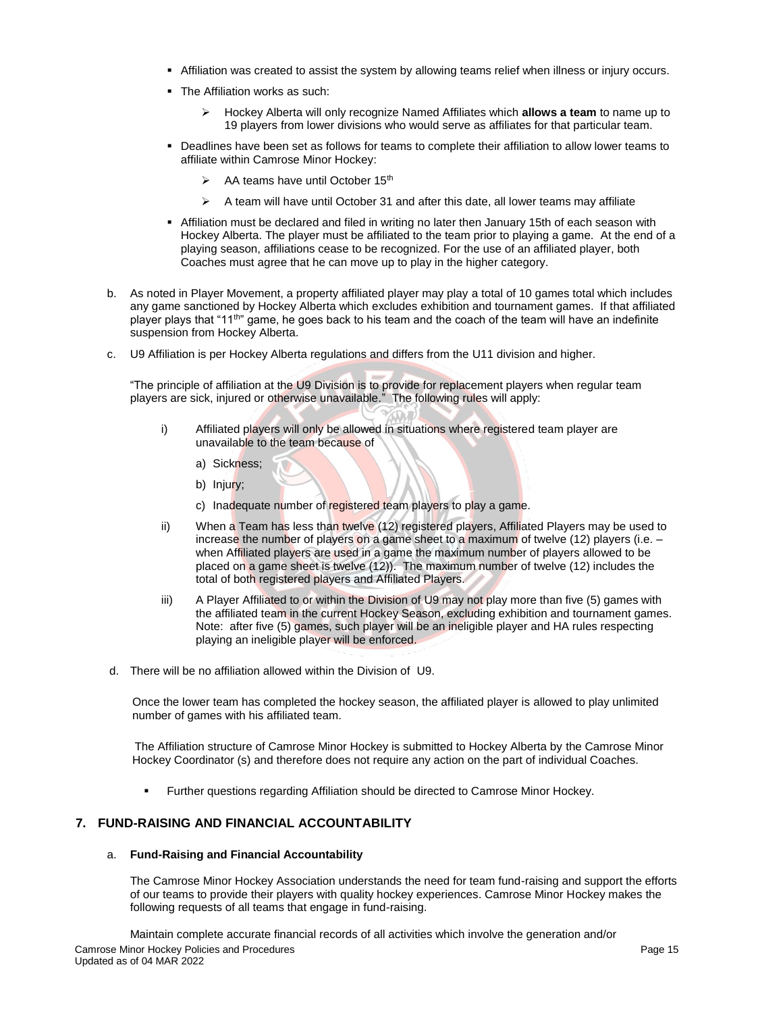- **Affiliation was created to assist the system by allowing teams relief when illness or injury occurs.**
- **The Affiliation works as such:** 
	- ➢ Hockey Alberta will only recognize Named Affiliates which **allows a team** to name up to 19 players from lower divisions who would serve as affiliates for that particular team.
- Deadlines have been set as follows for teams to complete their affiliation to allow lower teams to affiliate within Camrose Minor Hockey:
	- AA teams have until October 15<sup>th</sup>
	- $\triangleright$  A team will have until October 31 and after this date, all lower teams may affiliate
- **EXTE:** Affiliation must be declared and filed in writing no later then January 15th of each season with Hockey Alberta. The player must be affiliated to the team prior to playing a game. At the end of a playing season, affiliations cease to be recognized. For the use of an affiliated player, both Coaches must agree that he can move up to play in the higher category.
- b. As noted in Player Movement, a property affiliated player may play a total of 10 games total which includes any game sanctioned by Hockey Alberta which excludes exhibition and tournament games. If that affiliated player plays that "11th" game, he goes back to his team and the coach of the team will have an indefinite suspension from Hockey Alberta.
- c. U9 Affiliation is per Hockey Alberta regulations and differs from the U11 division and higher.

"The principle of affiliation at the U9 Division is to provide for replacement players when regular team players are sick, injured or otherwise unavailable." The following rules will apply:

- i) Affiliated players will only be allowed in situations where registered team player are unavailable to the team because of
	- a) Sickness;
	- b) Injury;
	- c) Inadequate number of registered team players to play a game.
- ii) When a Team has less than twelve (12) registered players, Affiliated Players may be used to increase the number of players on a game sheet to a maximum of twelve (12) players (i.e. – when Affiliated players are used in a game the maximum number of players allowed to be placed on a game sheet is twelve (12)). The maximum number of twelve (12) includes the total of both registered players and Affiliated Players.
- iii) A Player Affiliated to or within the Division of U9 may not play more than five (5) games with the affiliated team in the current Hockey Season, excluding exhibition and tournament games. Note: after five (5) games, such player will be an ineligible player and HA rules respecting playing an ineligible player will be enforced.
- d. There will be no affiliation allowed within the Division of U9.

Once the lower team has completed the hockey season, the affiliated player is allowed to play unlimited number of games with his affiliated team.

The Affiliation structure of Camrose Minor Hockey is submitted to Hockey Alberta by the Camrose Minor Hockey Coordinator (s) and therefore does not require any action on the part of individual Coaches.

**EURE** Further questions regarding Affiliation should be directed to Camrose Minor Hockey.

# **7. FUND-RAISING AND FINANCIAL ACCOUNTABILITY**

### a. **Fund-Raising and Financial Accountability**

The Camrose Minor Hockey Association understands the need for team fund-raising and support the efforts of our teams to provide their players with quality hockey experiences. Camrose Minor Hockey makes the following requests of all teams that engage in fund-raising.

Camrose Minor Hockey Policies and Procedures **Page 15** November 2012 15 November 2012 15 November 2013 Updated as of 04 MAR 2022 Maintain complete accurate financial records of all activities which involve the generation and/or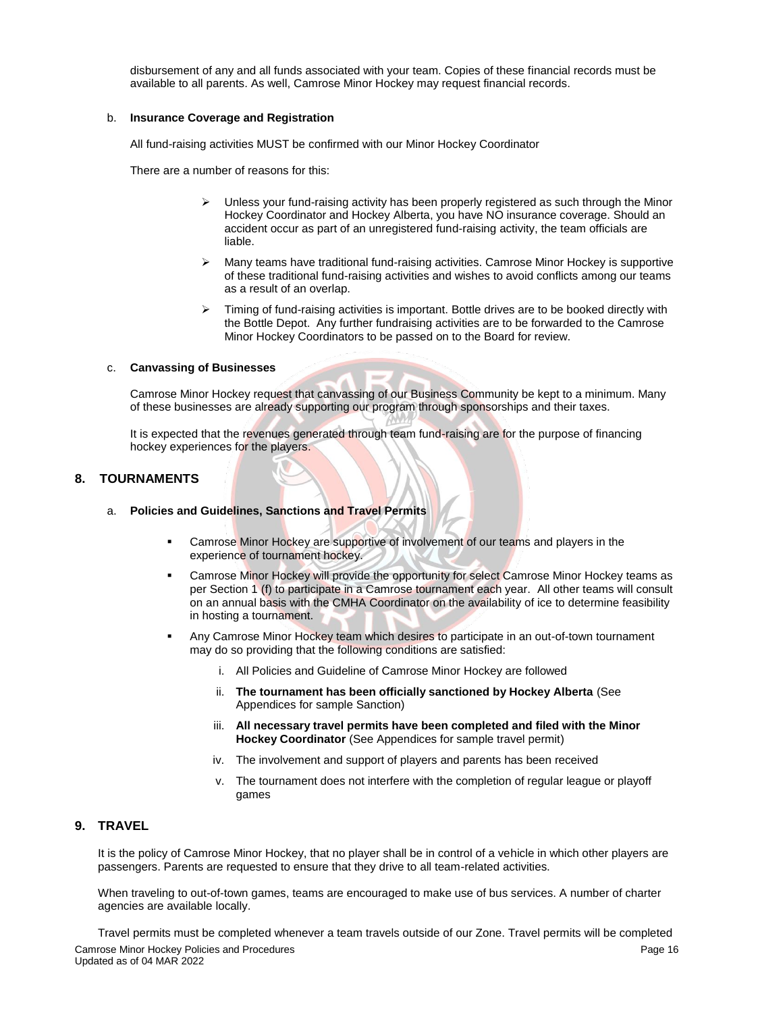disbursement of any and all funds associated with your team. Copies of these financial records must be available to all parents. As well, Camrose Minor Hockey may request financial records.

### b. **Insurance Coverage and Registration**

All fund-raising activities MUST be confirmed with our Minor Hockey Coordinator

There are a number of reasons for this:

- $\triangleright$  Unless your fund-raising activity has been properly registered as such through the Minor Hockey Coordinator and Hockey Alberta, you have NO insurance coverage. Should an accident occur as part of an unregistered fund-raising activity, the team officials are liable.
- $\triangleright$  Many teams have traditional fund-raising activities. Camrose Minor Hockey is supportive of these traditional fund-raising activities and wishes to avoid conflicts among our teams as a result of an overlap.
- ➢ Timing of fund-raising activities is important. Bottle drives are to be booked directly with the Bottle Depot. Any further fundraising activities are to be forwarded to the Camrose Minor Hockey Coordinators to be passed on to the Board for review.

#### c. **Canvassing of Businesses**

Camrose Minor Hockey request that canvassing of our Business Community be kept to a minimum. Many of these businesses are already supporting our program through sponsorships and their taxes.

It is expected that the revenues generated through team fund-raising are for the purpose of financing hockey experiences for the players.

# **8. TOURNAMENTS**

- a. **Policies and Guidelines, Sanctions and Travel Permits**
	- Camrose Minor Hockey are supportive of involvement of our teams and players in the experience of tournament hockey.
	- Camrose Minor Hockey will provide the opportunity for select Camrose Minor Hockey teams as per Section 1 (f) to participate in a Camrose tournament each year. All other teams will consult on an annual basis with the CMHA Coordinator on the availability of ice to determine feasibility in hosting a tournament.
	- Any Camrose Minor Hockey team which desires to participate in an out-of-town tournament may do so providing that the following conditions are satisfied:
		- i. All Policies and Guideline of Camrose Minor Hockey are followed
		- ii. **The tournament has been officially sanctioned by Hockey Alberta** (See Appendices for sample Sanction)
		- iii. **All necessary travel permits have been completed and filed with the Minor Hockey Coordinator** (See Appendices for sample travel permit)
		- iv. The involvement and support of players and parents has been received
		- v. The tournament does not interfere with the completion of regular league or playoff games

# **9. TRAVEL**

It is the policy of Camrose Minor Hockey, that no player shall be in control of a vehicle in which other players are passengers. Parents are requested to ensure that they drive to all team-related activities.

When traveling to out-of-town games, teams are encouraged to make use of bus services. A number of charter agencies are available locally.

Camrose Minor Hockey Policies and Procedures **Page 16** and *Procedures* Page 16 and *Procedures* Page 16 Updated as of 04 MAR 2022 Travel permits must be completed whenever a team travels outside of our Zone. Travel permits will be completed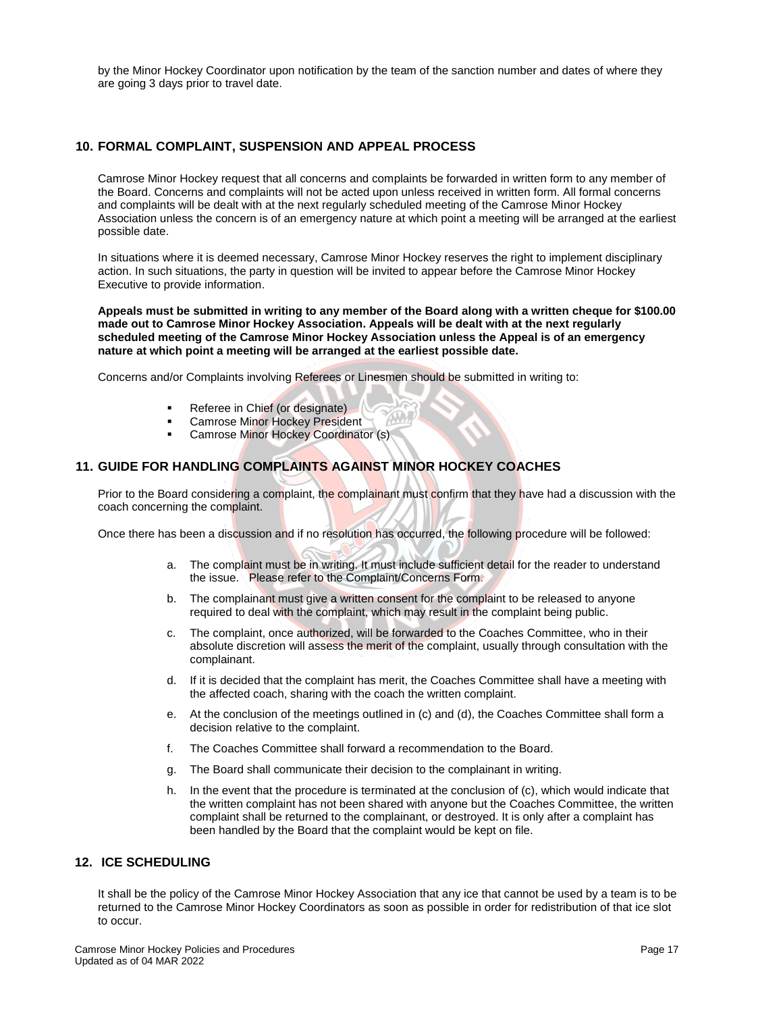by the Minor Hockey Coordinator upon notification by the team of the sanction number and dates of where they are going 3 days prior to travel date.

# **10. FORMAL COMPLAINT, SUSPENSION AND APPEAL PROCESS**

Camrose Minor Hockey request that all concerns and complaints be forwarded in written form to any member of the Board. Concerns and complaints will not be acted upon unless received in written form. All formal concerns and complaints will be dealt with at the next regularly scheduled meeting of the Camrose Minor Hockey Association unless the concern is of an emergency nature at which point a meeting will be arranged at the earliest possible date.

In situations where it is deemed necessary, Camrose Minor Hockey reserves the right to implement disciplinary action. In such situations, the party in question will be invited to appear before the Camrose Minor Hockey Executive to provide information.

**Appeals must be submitted in writing to any member of the Board along with a written cheque for \$100.00 made out to Camrose Minor Hockey Association. Appeals will be dealt with at the next regularly scheduled meeting of the Camrose Minor Hockey Association unless the Appeal is of an emergency nature at which point a meeting will be arranged at the earliest possible date.**

Concerns and/or Complaints involving Referees or Linesmen should be submitted in writing to:

- Referee in Chief (or designate)
- **Camrose Minor Hockey President**
- Camrose Minor Hockey Coordinator (s)

# **11. GUIDE FOR HANDLING COMPLAINTS AGAINST MINOR HOCKEY COACHES**

Prior to the Board considering a complaint, the complainant must confirm that they have had a discussion with the coach concerning the complaint.

Once there has been a discussion and if no resolution has occurred, the following procedure will be followed:

- a. The complaint must be in writing. It must include sufficient detail for the reader to understand the issue. Please refer to the Complaint/Concerns Form.
- b. The complainant must give a written consent for the complaint to be released to anyone required to deal with the complaint, which may result in the complaint being public.
- c. The complaint, once authorized, will be forwarded to the Coaches Committee, who in their absolute discretion will assess the merit of the complaint, usually through consultation with the complainant.
- d. If it is decided that the complaint has merit, the Coaches Committee shall have a meeting with the affected coach, sharing with the coach the written complaint.
- e. At the conclusion of the meetings outlined in (c) and (d), the Coaches Committee shall form a decision relative to the complaint.
- f. The Coaches Committee shall forward a recommendation to the Board.
- g. The Board shall communicate their decision to the complainant in writing.
- h. In the event that the procedure is terminated at the conclusion of (c), which would indicate that the written complaint has not been shared with anyone but the Coaches Committee, the written complaint shall be returned to the complainant, or destroyed. It is only after a complaint has been handled by the Board that the complaint would be kept on file.

# **12. ICE SCHEDULING**

It shall be the policy of the Camrose Minor Hockey Association that any ice that cannot be used by a team is to be returned to the Camrose Minor Hockey Coordinators as soon as possible in order for redistribution of that ice slot to occur.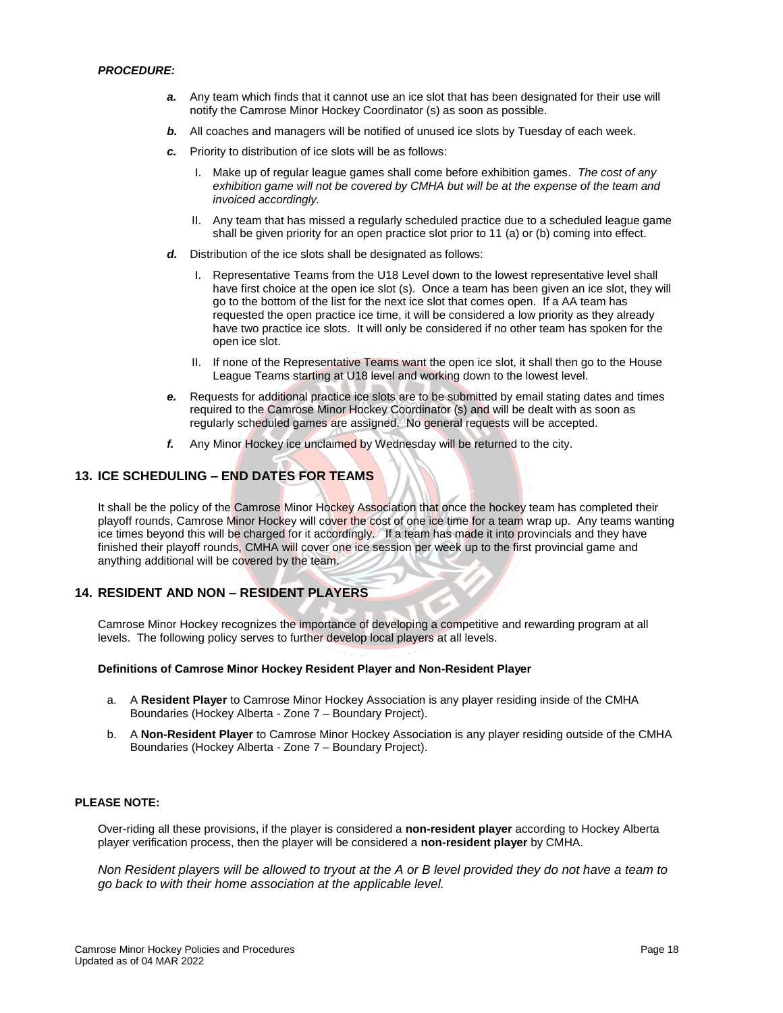### *PROCEDURE:*

- *a.* Any team which finds that it cannot use an ice slot that has been designated for their use will notify the Camrose Minor Hockey Coordinator (s) as soon as possible.
- **b.** All coaches and managers will be notified of unused ice slots by Tuesday of each week.
- *c.* Priority to distribution of ice slots will be as follows:
	- I. Make up of regular league games shall come before exhibition games. *The cost of any exhibition game will not be covered by CMHA but will be at the expense of the team and invoiced accordingly.*
	- II. Any team that has missed a regularly scheduled practice due to a scheduled league game shall be given priority for an open practice slot prior to 11 (a) or (b) coming into effect.
- *d.* Distribution of the ice slots shall be designated as follows:
	- I. Representative Teams from the U18 Level down to the lowest representative level shall have first choice at the open ice slot (s). Once a team has been given an ice slot, they will go to the bottom of the list for the next ice slot that comes open. If a AA team has requested the open practice ice time, it will be considered a low priority as they already have two practice ice slots. It will only be considered if no other team has spoken for the open ice slot.
	- II. If none of the Representative Teams want the open ice slot, it shall then go to the House League Teams starting at U18 level and working down to the lowest level.
- *e.* Requests for additional practice ice slots are to be submitted by email stating dates and times required to the Camrose Minor Hockey Coordinator (s) and will be dealt with as soon as regularly scheduled games are assigned. No general requests will be accepted.
- *f.* Any Minor Hockey ice unclaimed by Wednesday will be returned to the city.

# **13. ICE SCHEDULING – END DATES FOR TEAMS**

It shall be the policy of the Camrose Minor Hockey Association that once the hockey team has completed their playoff rounds, Camrose Minor Hockey will cover the cost of one ice time for a team wrap up. Any teams wanting ice times beyond this will be charged for it accordingly. If a team has made it into provincials and they have finished their playoff rounds, CMHA will cover one ice session per week up to the first provincial game and anything additional will be covered by the team.

# **14. RESIDENT AND NON – RESIDENT PLAYERS**

Camrose Minor Hockey recognizes the importance of developing a competitive and rewarding program at all levels. The following policy serves to further develop local players at all levels.

#### **Definitions of Camrose Minor Hockey Resident Player and Non-Resident Player**

- a. A **Resident Player** to Camrose Minor Hockey Association is any player residing inside of the CMHA Boundaries (Hockey Alberta - Zone 7 – Boundary Project).
- b. A **Non-Resident Player** to Camrose Minor Hockey Association is any player residing outside of the CMHA Boundaries (Hockey Alberta - Zone 7 – Boundary Project).

# **PLEASE NOTE:**

Over-riding all these provisions, if the player is considered a **non-resident player** according to Hockey Alberta player verification process, then the player will be considered a **non-resident player** by CMHA.

*Non Resident players will be allowed to tryout at the A or B level provided they do not have a team to go back to with their home association at the applicable level.*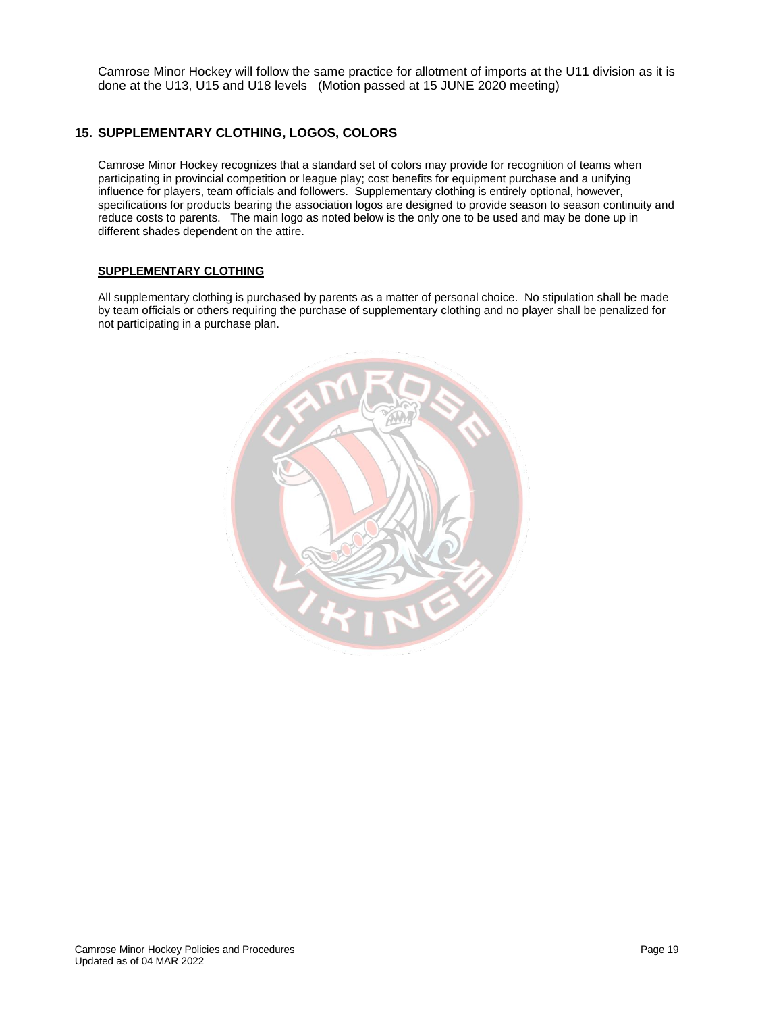Camrose Minor Hockey will follow the same practice for allotment of imports at the U11 division as it is done at the U13, U15 and U18 levels (Motion passed at 15 JUNE 2020 meeting)

# **15. SUPPLEMENTARY CLOTHING, LOGOS, COLORS**

Camrose Minor Hockey recognizes that a standard set of colors may provide for recognition of teams when participating in provincial competition or league play; cost benefits for equipment purchase and a unifying influence for players, team officials and followers. Supplementary clothing is entirely optional, however, specifications for products bearing the association logos are designed to provide season to season continuity and reduce costs to parents. The main logo as noted below is the only one to be used and may be done up in different shades dependent on the attire.

# **SUPPLEMENTARY CLOTHING**

All supplementary clothing is purchased by parents as a matter of personal choice. No stipulation shall be made by team officials or others requiring the purchase of supplementary clothing and no player shall be penalized for not participating in a purchase plan.